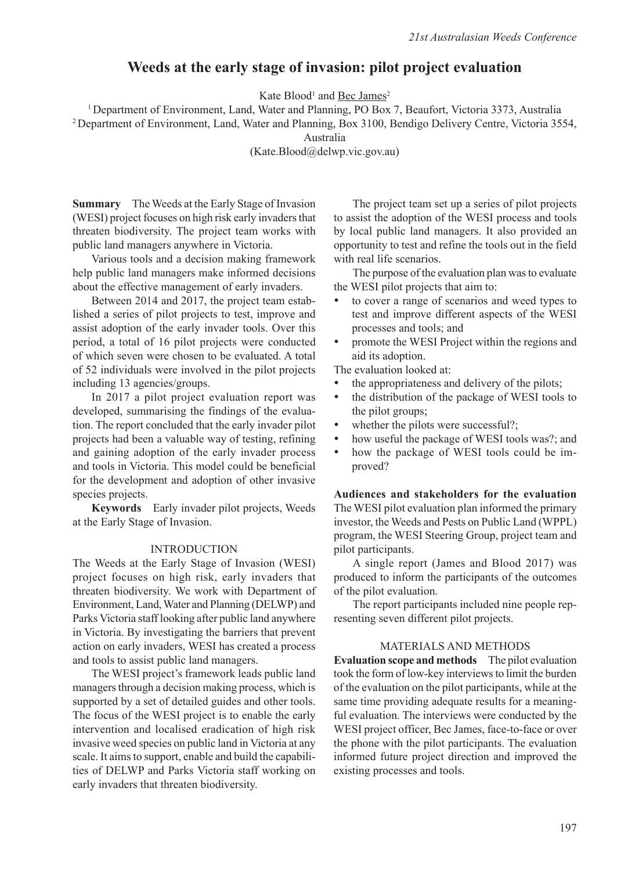# **Weeds at the early stage of invasion: pilot project evaluation**

Kate Blood<sup>1</sup> and **Bec James**<sup>2</sup>

1 Department of Environment, Land, Water and Planning, PO Box 7, Beaufort, Victoria 3373, Australia

2 Department of Environment, Land, Water and Planning, Box 3100, Bendigo Delivery Centre, Victoria 3554,

Australia

(Kate.Blood@delwp.vic.gov.au)

**Summary** The Weeds at the Early Stage of Invasion (WESI) project focuses on high risk early invaders that threaten biodiversity. The project team works with public land managers anywhere in Victoria.

Various tools and a decision making framework help public land managers make informed decisions about the effective management of early invaders.

Between 2014 and 2017, the project team established a series of pilot projects to test, improve and assist adoption of the early invader tools. Over this period, a total of 16 pilot projects were conducted of which seven were chosen to be evaluated. A total of 52 individuals were involved in the pilot projects including 13 agencies/groups.

In 2017 a pilot project evaluation report was developed, summarising the findings of the evaluation. The report concluded that the early invader pilot projects had been a valuable way of testing, refining and gaining adoption of the early invader process and tools in Victoria. This model could be beneficial for the development and adoption of other invasive species projects.

**Keywords** Early invader pilot projects, Weeds at the Early Stage of Invasion.

#### INTRODUCTION

The Weeds at the Early Stage of Invasion (WESI) project focuses on high risk, early invaders that threaten biodiversity. We work with Department of Environment, Land, Water and Planning (DELWP) and Parks Victoria staff looking after public land anywhere in Victoria. By investigating the barriers that prevent action on early invaders, WESI has created a process and tools to assist public land managers.

The WESI project's framework leads public land managers through a decision making process, which is supported by a set of detailed guides and other tools. The focus of the WESI project is to enable the early intervention and localised eradication of high risk invasive weed species on public land in Victoria at any scale. It aims to support, enable and build the capabilities of DELWP and Parks Victoria staff working on early invaders that threaten biodiversity.

The project team set up a series of pilot projects to assist the adoption of the WESI process and tools by local public land managers. It also provided an opportunity to test and refine the tools out in the field with real life scenarios.

The purpose of the evaluation plan was to evaluate the WESI pilot projects that aim to:

- to cover a range of scenarios and weed types to test and improve different aspects of the WESI processes and tools; and
- promote the WESI Project within the regions and aid its adoption.

The evaluation looked at:

- the appropriateness and delivery of the pilots;
- the distribution of the package of WESI tools to the pilot groups;
- whether the pilots were successful?;
- how useful the package of WESI tools was?; and
- how the package of WESI tools could be improved?

**Audiences and stakeholders for the evaluation** The WESI pilot evaluation plan informed the primary investor, the Weeds and Pests on Public Land (WPPL) program, the WESI Steering Group, project team and pilot participants.

A single report (James and Blood 2017) was produced to inform the participants of the outcomes of the pilot evaluation.

The report participants included nine people representing seven different pilot projects.

### MATERIALS and METHODS

**Evaluation scope and methods** The pilot evaluation took the form of low-key interviews to limit the burden of the evaluation on the pilot participants, while at the same time providing adequate results for a meaningful evaluation. The interviews were conducted by the WESI project officer, Bec James, face-to-face or over the phone with the pilot participants. The evaluation informed future project direction and improved the existing processes and tools.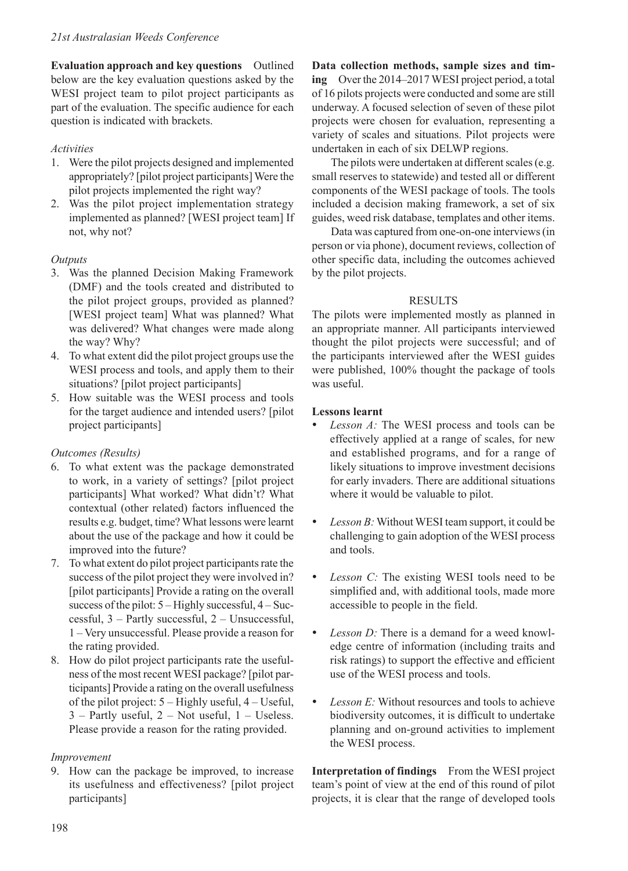**Evaluation approach and key questions** Outlined below are the key evaluation questions asked by the WESI project team to pilot project participants as part of the evaluation. The specific audience for each question is indicated with brackets.

# *Activities*

- 1. Were the pilot projects designed and implemented appropriately? [pilot project participants] Were the pilot projects implemented the right way?
- 2. Was the pilot project implementation strategy implemented as planned? [WESI project team] If not, why not?

# *Outputs*

- 3. Was the planned Decision Making Framework (DMF) and the tools created and distributed to the pilot project groups, provided as planned? [WESI project team] What was planned? What was delivered? What changes were made along the way? Why?
- 4. To what extent did the pilot project groups use the WESI process and tools, and apply them to their situations? [pilot project participants]
- 5. How suitable was the WESI process and tools for the target audience and intended users? [pilot project participants]

# *Outcomes (Results)*

- 6. To what extent was the package demonstrated to work, in a variety of settings? [pilot project participants] What worked? What didn't? What contextual (other related) factors influenced the results e.g. budget, time? What lessons were learnt about the use of the package and how it could be improved into the future?
- 7. To what extent do pilot project participants rate the success of the pilot project they were involved in? [pilot participants] Provide a rating on the overall success of the pilot: 5 – Highly successful, 4 – Successful, 3 – Partly successful, 2 – Unsuccessful, 1 – Very unsuccessful. Please provide a reason for the rating provided.
- 8. How do pilot project participants rate the usefulness of the most recent WESI package? [pilot participants] Provide a rating on the overall usefulness of the pilot project: 5 – Highly useful, 4 – Useful, 3 – Partly useful, 2 – Not useful, 1 – Useless. Please provide a reason for the rating provided.

## *Improvement*

9. How can the package be improved, to increase its usefulness and effectiveness? [pilot project participants]

**Data collection methods, sample sizes and timing** Over the 2014–2017 WESI project period, a total of 16 pilots projects were conducted and some are still underway. A focused selection of seven of these pilot projects were chosen for evaluation, representing a variety of scales and situations. Pilot projects were undertaken in each of six DELWP regions.

The pilots were undertaken at different scales (e.g. small reserves to statewide) and tested all or different components of the WESI package of tools. The tools included a decision making framework, a set of six guides, weed risk database, templates and other items.

Data was captured from one-on-one interviews (in person or via phone), document reviews, collection of other specific data, including the outcomes achieved by the pilot projects.

## RESULTS

The pilots were implemented mostly as planned in an appropriate manner. All participants interviewed thought the pilot projects were successful; and of the participants interviewed after the WESI guides were published, 100% thought the package of tools was useful.

### **Lessons learnt**

- *Lesson A:* The WESI process and tools can be effectively applied at a range of scales, for new and established programs, and for a range of likely situations to improve investment decisions for early invaders. There are additional situations where it would be valuable to pilot.
- *Lesson B:* Without WESI team support, it could be challenging to gain adoption of the WESI process and tools.
- *Lesson C:* The existing WESI tools need to be simplified and, with additional tools, made more accessible to people in the field.
- *Lesson D:* There is a demand for a weed knowledge centre of information (including traits and risk ratings) to support the effective and efficient use of the WESI process and tools.
- Lesson E: Without resources and tools to achieve biodiversity outcomes, it is difficult to undertake planning and on-ground activities to implement the WESI process.

**Interpretation of findings** From the WESI project team's point of view at the end of this round of pilot projects, it is clear that the range of developed tools